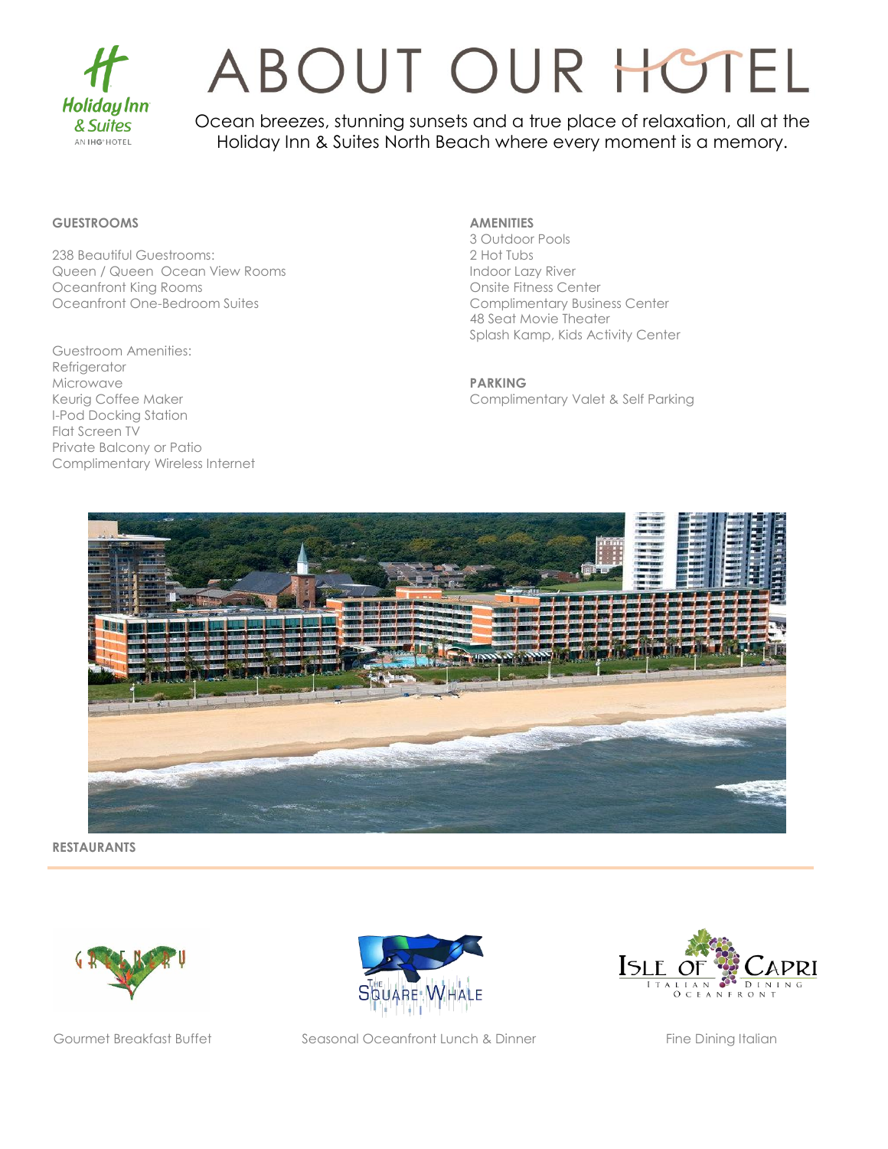

### ABOUT OUR HOTEL

Ocean breezes, stunning sunsets and a true place of relaxation, all at the Holiday Inn & Suites North Beach where every moment is a memory.

#### **GUESTROOMS**

238 Beautiful Guestrooms: Queen / Queen Ocean View Rooms Oceanfront King Rooms Oceanfront One-Bedroom Suites

Guestroom Amenities: Refrigerator Microwave Keurig Coffee Maker I-Pod Docking Station Flat Screen TV Private Balcony or Patio Complimentary Wireless Internet

#### **AMENITIES**

3 Outdoor Pools 2 Hot Tubs Indoor Lazy River Onsite Fitness Center Complimentary Business Center 48 Seat Movie Theater Splash Kamp, Kids Activity Center

**PARKING** Complimentary Valet & Self Parking



**RESTAURANTS**





Gourmet Breakfast Buffet Seasonal Oceanfront Lunch & Dinner Fine Dining Italian

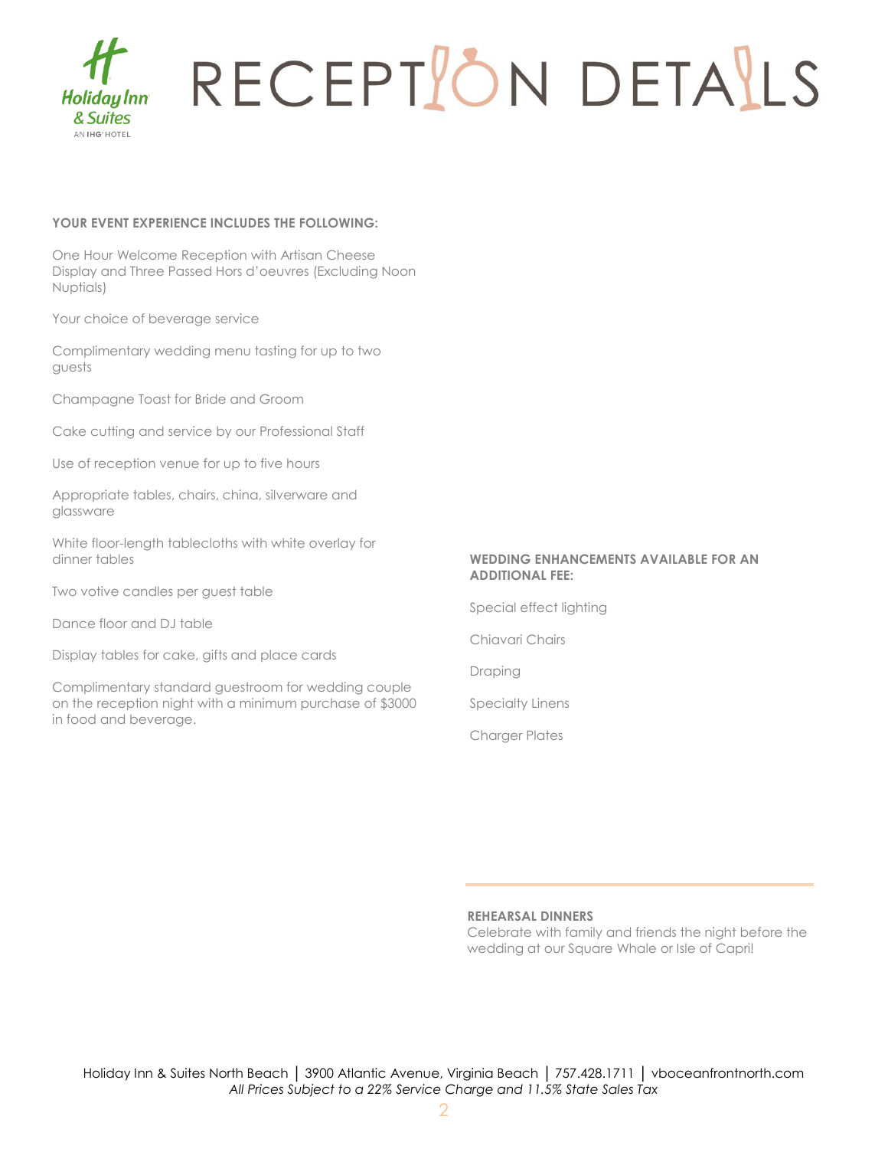

# RECEPTION DETAILS

#### **YOUR EVENT EXPERIENCE INCLUDES THE FOLLOWING:**

One Hour Welcome Reception with Artisan Cheese Display and Three Passed Hors d'oeuvres (Excluding Noon Nuptials)

Your choice of beverage service

Complimentary wedding menu tasting for up to two guests

Champagne Toast for Bride and Groom

Cake cutting and service by our Professional Staff

Use of reception venue for up to five hours

Appropriate tables, chairs, china, silverware and glassware

White floor-length tablecloths with white overlay for dinner tables

Two votive candles per guest table

Dance floor and DJ table

Display tables for cake, gifts and place cards

Complimentary standard guestroom for wedding couple on the reception night with a minimum purchase of \$3000 in food and beverage.

#### **WEDDING ENHANCEMENTS AVAILABLE FOR AN ADDITIONAL FEE:**

Special effect lighting

Chiavari Chairs

Draping

Specialty Linens

Charger Plates

#### **REHEARSAL DINNERS**

Celebrate with family and friends the night before the wedding at our Square Whale or Isle of Capri!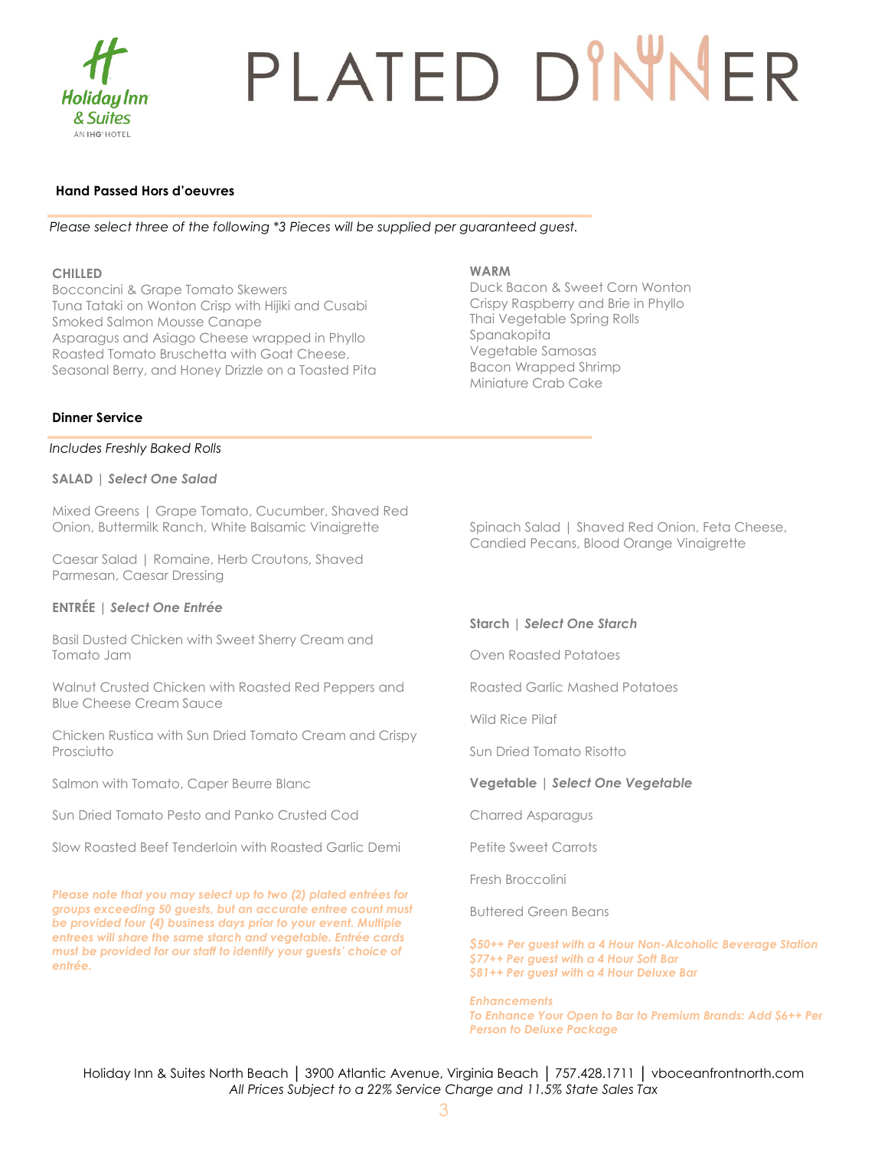

# PLATED DINNER

#### **Hand Passed Hors d'oeuvres**

*Please select three of the following \*3 Pieces will be supplied per guaranteed guest.*

#### **CHILLED**

Bocconcini & Grape Tomato Skewers Tuna Tataki on Wonton Crisp with Hijiki and Cusabi Smoked Salmon Mousse Canape Asparagus and Asiago Cheese wrapped in Phyllo Roasted Tomato Bruschetta with Goat Cheese, Seasonal Berry, and Honey Drizzle on a Toasted Pita

#### **WARM**

Duck Bacon & Sweet Corn Wonton Crispy Raspberry and Brie in Phyllo Thai Vegetable Spring Rolls Spanakopita Vegetable Samosas Bacon Wrapped Shrimp Miniature Crab Cake

#### **Dinner Service**

#### *Includes Freshly Baked Rolls*

#### **SALAD** *| Select One Salad*

Mixed Greens | Grape Tomato, Cucumber, Shaved Red Onion, Buttermilk Ranch, White Balsamic Vinaigrette

Caesar Salad | Romaine, Herb Croutons, Shaved Parmesan, Caesar Dressing

#### **ENTRÉE** *| Select One Entrée*

Basil Dusted Chicken with Sweet Sherry Cream and Tomato Jam

Walnut Crusted Chicken with Roasted Red Peppers and Blue Cheese Cream Sauce

Chicken Rustica with Sun Dried Tomato Cream and Crispy **Prosciutto** 

Salmon with Tomato, Caper Beurre Blanc

Sun Dried Tomato Pesto and Panko Crusted Cod

Slow Roasted Beef Tenderloin with Roasted Garlic Demi

*Please note that you may select up to two (2) plated entrées for groups exceeding 50 guests, but an accurate entree count must be provided four (4) business days prior to your event. Multiple entrees will share the same starch and vegetable. Entrée cards must be provided for our staff to identify your guests' choice of entrée.*

Spinach Salad | Shaved Red Onion, Feta Cheese, Candied Pecans, Blood Orange Vinaigrette

#### **Starch** *| Select One Starch*

Oven Roasted Potatoes

Roasted Garlic Mashed Potatoes

Wild Rice Pilaf

Sun Dried Tomato Risotto

#### **Vegetable** *| Select One Vegetable*

Charred Asparagus

Petite Sweet Carrots

Fresh Broccolini

Buttered Green Beans

*\$50++ Per guest with a 4 Hour Non-Alcoholic Beverage Station \$77++ Per guest with a 4 Hour Soft Bar \$81++ Per guest with a 4 Hour Deluxe Bar*

*Enhancements*

*To Enhance Your Open to Bar to Premium Brands: Add \$6++ Per Person to Deluxe Package*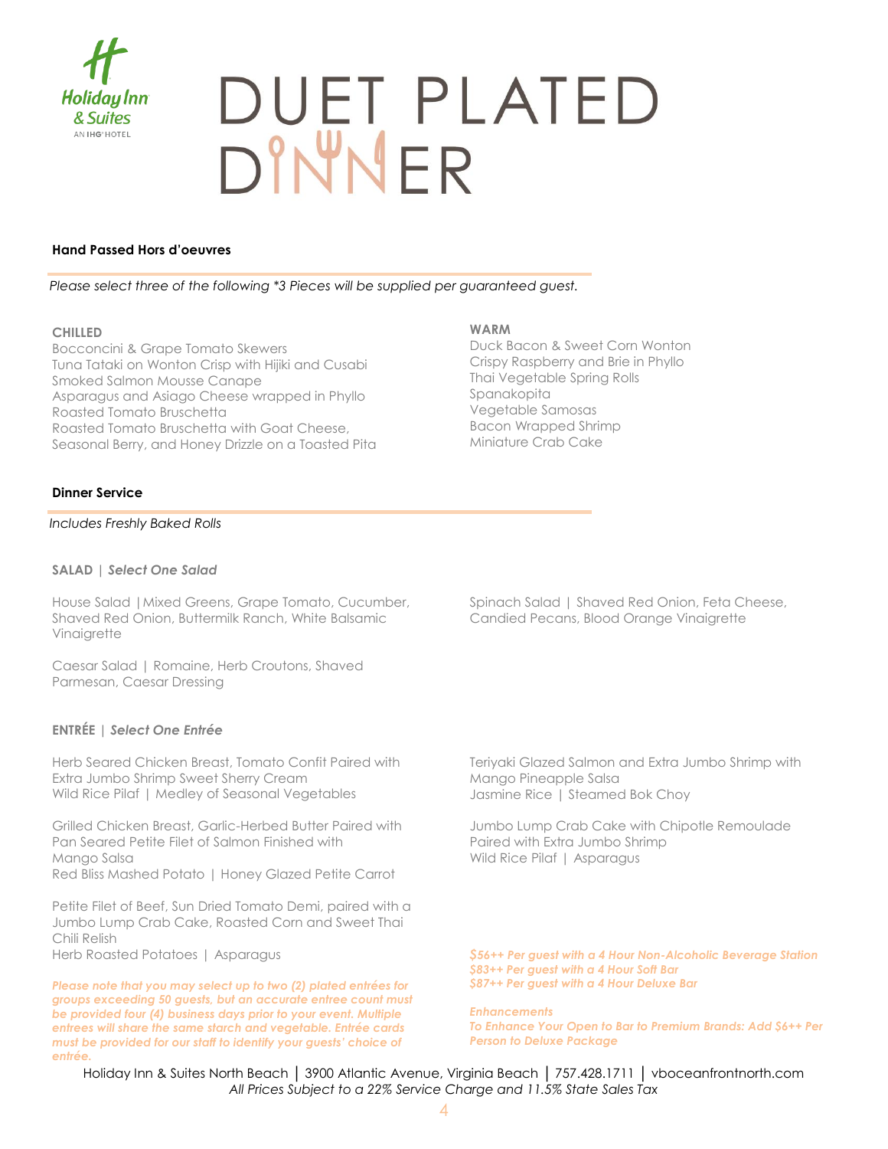

# DUET PLATED<br>DINNER

#### **Hand Passed Hors d'oeuvres**

*Please select three of the following \*3 Pieces will be supplied per guaranteed guest.*

#### **CHILLED**

Bocconcini & Grape Tomato Skewers Tuna Tataki on Wonton Crisp with Hijiki and Cusabi Smoked Salmon Mousse Canape Asparagus and Asiago Cheese wrapped in Phyllo Roasted Tomato Bruschetta Roasted Tomato Bruschetta with Goat Cheese, Seasonal Berry, and Honey Drizzle on a Toasted Pita

#### **WARM**

Duck Bacon & Sweet Corn Wonton Crispy Raspberry and Brie in Phyllo Thai Vegetable Spring Rolls Spanakopita Vegetable Samosas Bacon Wrapped Shrimp Miniature Crab Cake

#### **Dinner Service**

#### *Includes Freshly Baked Rolls*

#### **SALAD** *| Select One Salad*

House Salad |Mixed Greens, Grape Tomato, Cucumber, Shaved Red Onion, Buttermilk Ranch, White Balsamic Vinaigrette

Caesar Salad | Romaine, Herb Croutons, Shaved Parmesan, Caesar Dressing

#### **ENTRÉE** *| Select One Entrée*

Herb Seared Chicken Breast, Tomato Confit Paired with Extra Jumbo Shrimp Sweet Sherry Cream Wild Rice Pilaf | Medley of Seasonal Vegetables

Grilled Chicken Breast, Garlic-Herbed Butter Paired with Pan Seared Petite Filet of Salmon Finished with Mango Salsa Red Bliss Mashed Potato | Honey Glazed Petite Carrot

Petite Filet of Beef, Sun Dried Tomato Demi, paired with a Jumbo Lump Crab Cake, Roasted Corn and Sweet Thai Chili Relish

Herb Roasted Potatoes | Asparagus

*Please note that you may select up to two (2) plated entrées for groups exceeding 50 guests, but an accurate entree count must be provided four (4) business days prior to your event. Multiple entrees will share the same starch and vegetable. Entrée cards must be provided for our staff to identify your guests' choice of entrée.*

Spinach Salad | Shaved Red Onion, Feta Cheese, Candied Pecans, Blood Orange Vinaigrette

Teriyaki Glazed Salmon and Extra Jumbo Shrimp with Mango Pineapple Salsa Jasmine Rice | Steamed Bok Choy

Jumbo Lump Crab Cake with Chipotle Remoulade Paired with Extra Jumbo Shrimp Wild Rice Pilaf | Asparagus

*\$56++ Per guest with a 4 Hour Non-Alcoholic Beverage Station \$83++ Per guest with a 4 Hour Soft Bar \$87++ Per guest with a 4 Hour Deluxe Bar*

*Enhancements To Enhance Your Open to Bar to Premium Brands: Add \$6++ Per Person to Deluxe Package*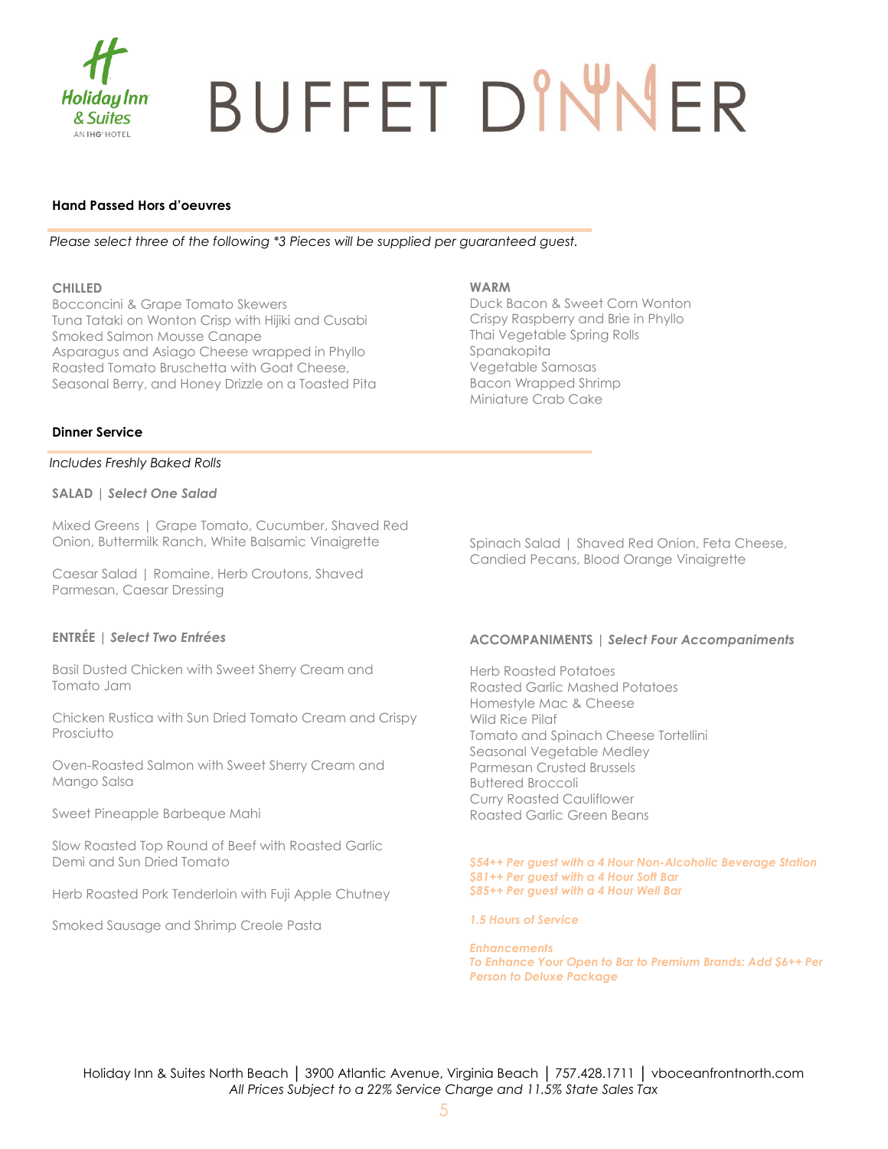

# BUFFET DINNER

#### **Hand Passed Hors d'oeuvres**

*Please select three of the following \*3 Pieces will be supplied per guaranteed guest.*

#### **CHILLED**

Bocconcini & Grape Tomato Skewers Tuna Tataki on Wonton Crisp with Hijiki and Cusabi Smoked Salmon Mousse Canape Asparagus and Asiago Cheese wrapped in Phyllo Roasted Tomato Bruschetta with Goat Cheese, Seasonal Berry, and Honey Drizzle on a Toasted Pita

#### **WARM**

Duck Bacon & Sweet Corn Wonton Crispy Raspberry and Brie in Phyllo Thai Vegetable Spring Rolls Spanakopita Vegetable Samosas Bacon Wrapped Shrimp Miniature Crab Cake

#### **Dinner Service**

*Includes Freshly Baked Rolls*

**SALAD** *| Select One Salad*

Mixed Greens | Grape Tomato, Cucumber, Shaved Red Onion, Buttermilk Ranch, White Balsamic Vinaigrette

Caesar Salad | Romaine, Herb Croutons, Shaved Parmesan, Caesar Dressing

#### **ENTRÉE** *| Select Two Entrées*

Basil Dusted Chicken with Sweet Sherry Cream and Tomato Jam

Chicken Rustica with Sun Dried Tomato Cream and Crispy Prosciutto

Oven-Roasted Salmon with Sweet Sherry Cream and Mango Salsa

Sweet Pineapple Barbeque Mahi

Slow Roasted Top Round of Beef with Roasted Garlic Demi and Sun Dried Tomato

Herb Roasted Pork Tenderloin with Fuji Apple Chutney

Smoked Sausage and Shrimp Creole Pasta

Spinach Salad | Shaved Red Onion, Feta Cheese, Candied Pecans, Blood Orange Vinaigrette

#### **ACCOMPANIMENTS |** *Select Four Accompaniments*

Herb Roasted Potatoes Roasted Garlic Mashed Potatoes Homestyle Mac & Cheese Wild Rice Pilaf Tomato and Spinach Cheese Tortellini Seasonal Vegetable Medley Parmesan Crusted Brussels Buttered Broccoli Curry Roasted Cauliflower Roasted Garlic Green Beans

*\$54++ Per guest with a 4 Hour Non-Alcoholic Beverage Station \$81++ Per guest with a 4 Hour Soft Bar \$85++ Per guest with a 4 Hour Well Bar*

*1.5 Hours of Service*

*Enhancements To Enhance Your Open to Bar to Premium Brands: Add \$6++ Per Person to Deluxe Package*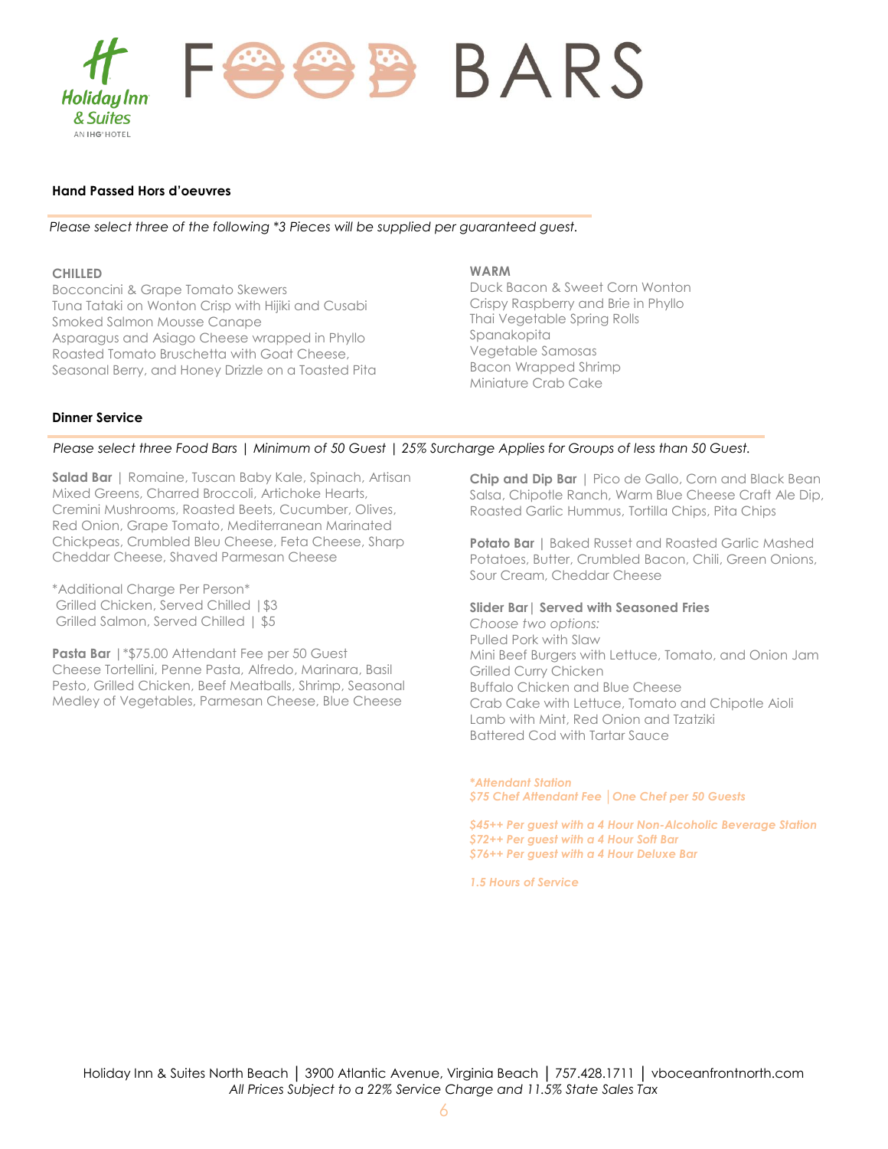

#### **Hand Passed Hors d'oeuvres**

*Please select three of the following \*3 Pieces will be supplied per guaranteed guest.*

#### **CHILLED**

Bocconcini & Grape Tomato Skewers Tuna Tataki on Wonton Crisp with Hijiki and Cusabi Smoked Salmon Mousse Canape Asparagus and Asiago Cheese wrapped in Phyllo Roasted Tomato Bruschetta with Goat Cheese, Seasonal Berry, and Honey Drizzle on a Toasted Pita

#### **WARM**

Duck Bacon & Sweet Corn Wonton Crispy Raspberry and Brie in Phyllo Thai Vegetable Spring Rolls Spanakopita Vegetable Samosas Bacon Wrapped Shrimp Miniature Crab Cake

#### **Dinner Service**

#### *Please select three Food Bars | Minimum of 50 Guest | 25% Surcharge Applies for Groups of less than 50 Guest.*

**Salad Bar** | Romaine, Tuscan Baby Kale, Spinach, Artisan Mixed Greens, Charred Broccoli, Artichoke Hearts, Cremini Mushrooms, Roasted Beets, Cucumber, Olives, Red Onion, Grape Tomato, Mediterranean Marinated Chickpeas, Crumbled Bleu Cheese, Feta Cheese, Sharp Cheddar Cheese, Shaved Parmesan Cheese

\*Additional Charge Per Person\* Grilled Chicken, Served Chilled | \$3 Grilled Salmon, Served Chilled | \$5

**Pasta Bar** |\*\$75.00 Attendant Fee per 50 Guest Cheese Tortellini, Penne Pasta, Alfredo, Marinara, Basil Pesto, Grilled Chicken, Beef Meatballs, Shrimp, Seasonal Medley of Vegetables, Parmesan Cheese, Blue Cheese

**Chip and Dip Bar** | Pico de Gallo, Corn and Black Bean Salsa, Chipotle Ranch, Warm Blue Cheese Craft Ale Dip, Roasted Garlic Hummus, Tortilla Chips, Pita Chips

**Potato Bar** | Baked Russet and Roasted Garlic Mashed Potatoes, Butter, Crumbled Bacon, Chili, Green Onions, Sour Cream, Cheddar Cheese

#### **Slider Bar| Served with Seasoned Fries**

*Choose two options:* Pulled Pork with Slaw Mini Beef Burgers with Lettuce, Tomato, and Onion Jam Grilled Curry Chicken Buffalo Chicken and Blue Cheese Crab Cake with Lettuce, Tomato and Chipotle Aioli Lamb with Mint, Red Onion and Tzatziki Battered Cod with Tartar Sauce

*\*Attendant Station \$75 Chef Attendant Fee │One Chef per 50 Guests* 

*\$45++ Per guest with a 4 Hour Non-Alcoholic Beverage Station \$72++ Per guest with a 4 Hour Soft Bar \$76++ Per guest with a 4 Hour Deluxe Bar*

*1.5 Hours of Service*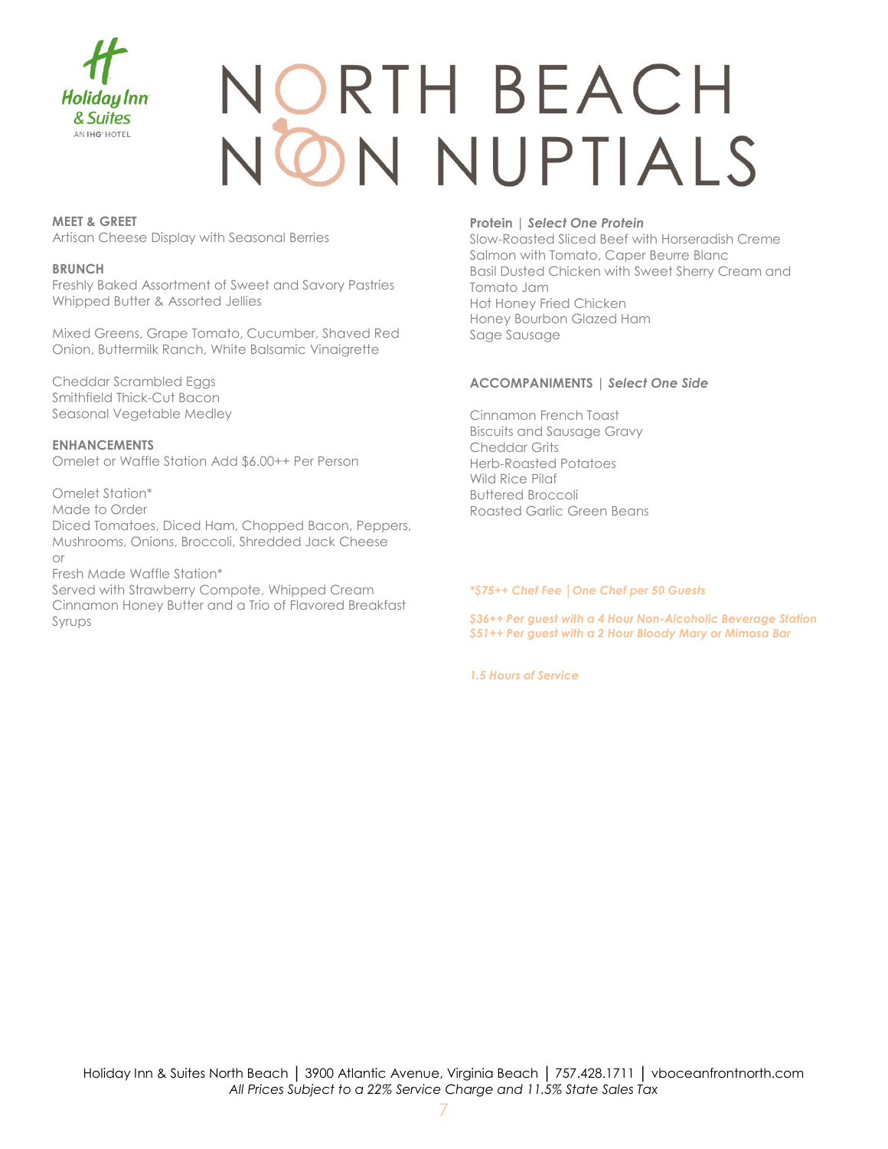

### JORTH BEACH **N NUPTIALS**

#### **MEET & GREET**

Artisan Cheese Display with Seasonal Berries

#### **BRUNCH**

Freshly Baked Assortment of Sweet and Savory Pastries Whipped Butter & Assorted Jellies

Mixed Greens, Grape Tomato, Cucumber, Shaved Red Onion, Buttermilk Ranch, White Balsamic Vinaigrette

Cheddar Scrambled Eggs Smithfield Thick-Cut Bacon Seasonal Vegetable Medley

**ENHANCEMENTS** Omelet or Waffle Station Add \$6.00++ Per Person

Omelet Station\* Made to Order Diced Tomatoes, Diced Ham, Chopped Bacon, Peppers, Mushrooms, Onions, Broccoli, Shredded Jack Cheese or Fresh Made Waffle Station\*

Served with Strawberry Compote, Whipped Cream Cinnamon Honey Butter and a Trio of Flavored Breakfast Syrups

#### **Protein |** *Select One Protein*

Slow-Roasted Sliced Beef with Horseradish Creme Salmon with Tomato, Caper Beurre Blanc Basil Dusted Chicken with Sweet Sherry Cream and Tomato Jam Hot Honey Fried Chicken Honey Bourbon Glazed Ham Sage Sausage

#### **ACCOMPANIMENTS |** *Select One Side*

Cinnamon French Toast Biscuits and Sausage Gravy Cheddar Grits Herb-Roasted Potatoes Wild Rice Pilaf Buttered Broccoli Roasted Garlic Green Beans

*\*\$75++ Chef Fee │One Chef per 50 Guests* 

*\$36++ Per guest with a 4 Hour Non-Alcoholic Beverage Station \$51++ Per guest with a 2 Hour Bloody Mary or Mimosa Bar* 

*1.5 Hours of Service*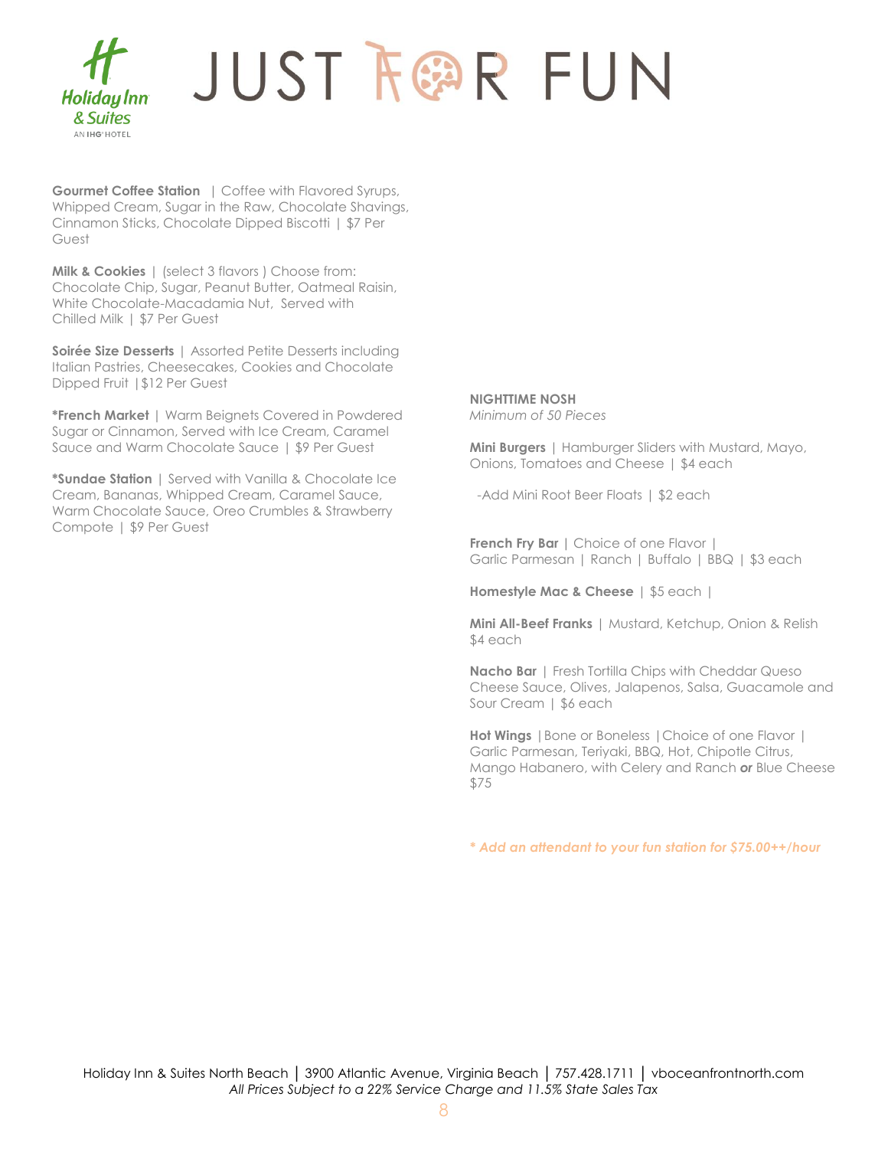

**Gourmet Coffee Station** | Coffee with Flavored Syrups, Whipped Cream, Sugar in the Raw, Chocolate Shavings, Cinnamon Sticks, Chocolate Dipped Biscotti | \$7 Per Guest

**Milk & Cookies** | (select 3 flavors ) Choose from: Chocolate Chip, Sugar, Peanut Butter, Oatmeal Raisin, White Chocolate-Macadamia Nut, Served with Chilled Milk | \$7 Per Guest

**Soirée Size Desserts** | Assorted Petite Desserts including Italian Pastries, Cheesecakes, Cookies and Chocolate Dipped Fruit |\$12 Per Guest

**\*French Market** | Warm Beignets Covered in Powdered Sugar or Cinnamon, Served with Ice Cream, Caramel Sauce and Warm Chocolate Sauce | \$9 Per Guest

**\*Sundae Station** | Served with Vanilla & Chocolate Ice Cream, Bananas, Whipped Cream, Caramel Sauce, Warm Chocolate Sauce, Oreo Crumbles & Strawberry Compote | \$9 Per Guest

**NIGHTTIME NOSH** *Minimum of 50 Pieces*

**Mini Burgers** | Hamburger Sliders with Mustard, Mayo, Onions, Tomatoes and Cheese | \$4 each

-Add Mini Root Beer Floats | \$2 each

**French Fry Bar** | Choice of one Flavor | Garlic Parmesan | Ranch | Buffalo | BBQ | \$3 each

**Homestyle Mac & Cheese** | \$5 each |

**Mini All-Beef Franks** | Mustard, Ketchup, Onion & Relish \$4 each

**Nacho Bar** | Fresh Tortilla Chips with Cheddar Queso Cheese Sauce, Olives, Jalapenos, Salsa, Guacamole and Sour Cream | \$6 each

**Hot Wings** |Bone or Boneless |Choice of one Flavor | Garlic Parmesan, Teriyaki, BBQ, Hot, Chipotle Citrus, Mango Habanero, with Celery and Ranch *or* Blue Cheese \$75

*\* Add an attendant to your fun station for \$75.00++/hour*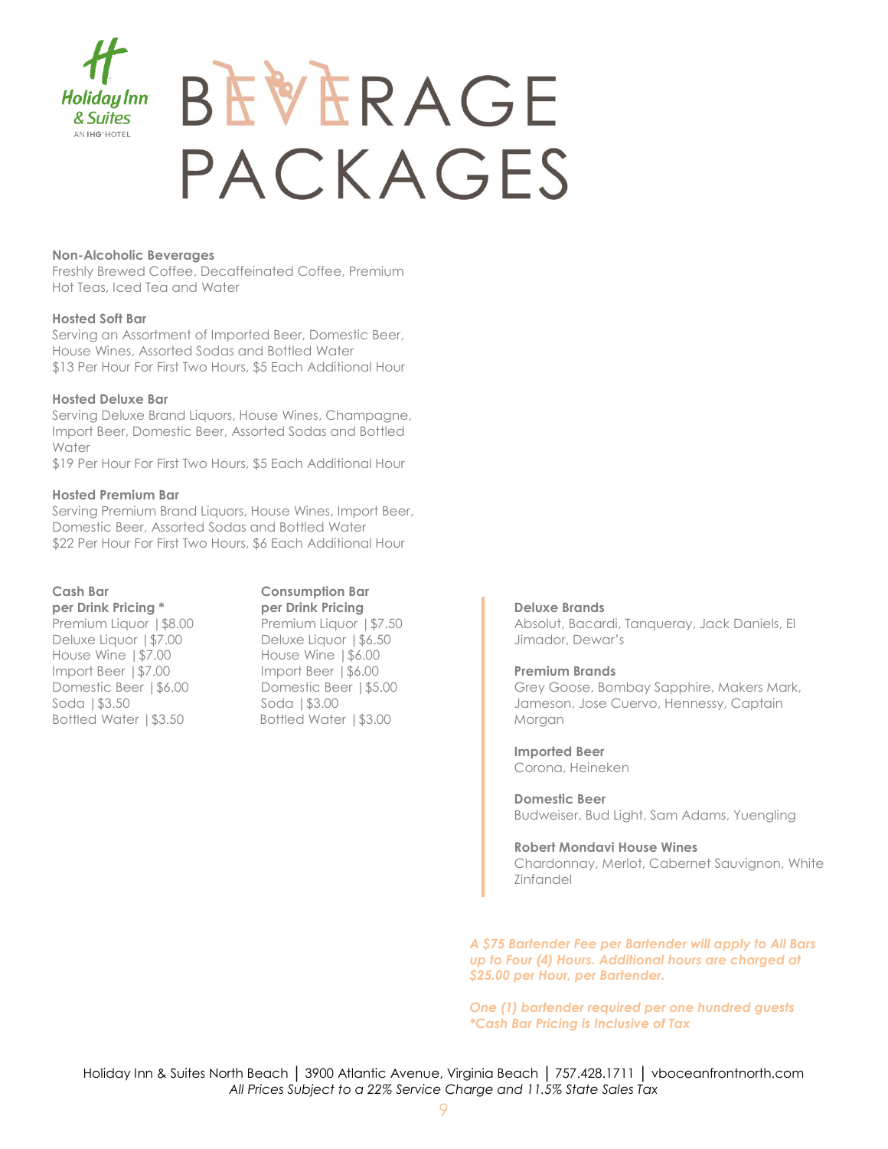

### BEVERAGE PACKAGES

#### **Non-Alcoholic Beverages**

Freshly Brewed Coffee, Decaffeinated Coffee, Premium Hot Teas, Iced Tea and Water

#### **Hosted Soft Bar**

Serving an Assortment of Imported Beer, Domestic Beer, House Wines, Assorted Sodas and Bottled Water \$13 Per Hour For First Two Hours, \$5 Each Additional Hour

#### **Hosted Deluxe Bar**

Serving Deluxe Brand Liquors, House Wines, Champagne, Import Beer, Domestic Beer, Assorted Sodas and Bottled Water

\$19 Per Hour For First Two Hours, \$5 Each Additional Hour

#### **Hosted Premium Bar**

Serving Premium Brand Liquors, House Wines, Import Beer, Domestic Beer, Assorted Sodas and Bottled Water \$22 Per Hour For First Two Hours, \$6 Each Additional Hour

#### **Cash Bar Consumption Bar**

**per Drink Pricing \* per Drink Pricing**  Premium Liquor | \$8.00 Premium Liquor | \$7.50 Deluxe Liquor | \$7.00 Deluxe Liquor | \$6.50 House Wine |\$7.00 House Wine |\$6.00 Import Beer |\$7.00 Import Beer |\$6.00 Domestic Beer | \$6.00 Domestic Beer | \$5.00 Soda | \$3.50 Soda | \$3.00 Bottled Water | \$3.50 Bottled Water | \$3.00

#### **Deluxe Brands**

Absolut, Bacardi, Tanqueray, Jack Daniels, El Jimador, Dewar's

#### **Premium Brands**

Grey Goose, Bombay Sapphire, Makers Mark, Jameson, Jose Cuervo, Hennessy, Captain Morgan

**Imported Beer** Corona, Heineken

**Domestic Beer** Budweiser, Bud Light, Sam Adams, Yuengling

**Robert Mondavi House Wines** Chardonnay, Merlot, Cabernet Sauvignon, White Zinfandel

*A \$75 Bartender Fee per Bartender will apply to All Bars up to Four (4) Hours. Additional hours are charged at \$25.00 per Hour, per Bartender.*

*One (1) bartender required per one hundred guests \*Cash Bar Pricing is Inclusive of Tax*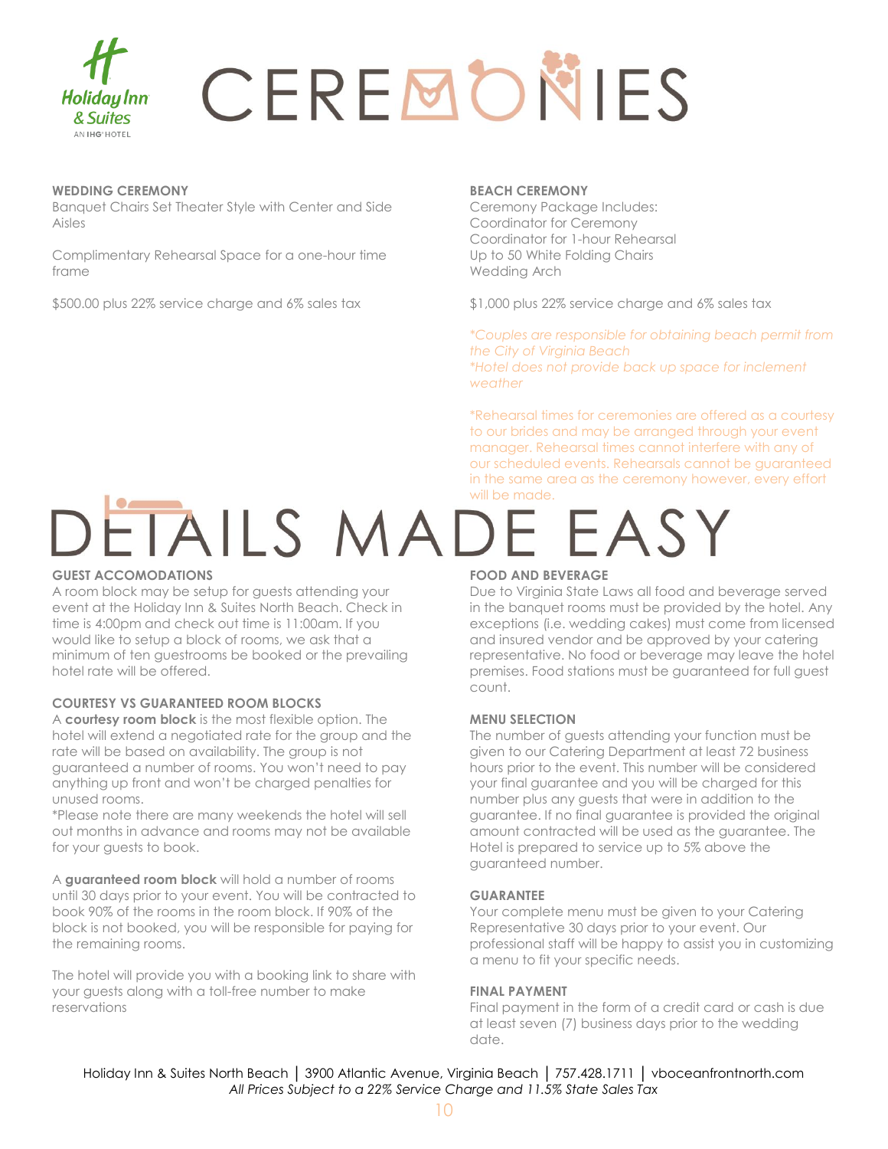

# CEREMONIES

#### **WEDDING CEREMONY**

Banquet Chairs Set Theater Style with Center and Side Aisles

Complimentary Rehearsal Space for a one-hour time frame

\$500.00 plus 22% service charge and 6% sales tax

#### **BEACH CEREMONY**

Ceremony Package Includes: Coordinator for Ceremony Coordinator for 1-hour Rehearsal Up to 50 White Folding Chairs Wedding Arch

\$1,000 plus 22% service charge and 6% sales tax

*\*Couples are responsible for obtaining beach permit from the City of Virginia Beach \*Hotel does not provide back up space for inclement weather*

\*Rehearsal times for ceremonies are offered as a courtesy to our brides and may be arranged through your event manager. Rehearsal times cannot interfere with any of our scheduled events. Rehearsals cannot be guaranteed in the same area as the ceremony however, every effort

### DETAILS MADE EASY

#### **GUEST ACCOMODATIONS**

A room block may be setup for guests attending your event at the Holiday Inn & Suites North Beach. Check in time is 4:00pm and check out time is 11:00am. If you would like to setup a block of rooms, we ask that a minimum of ten guestrooms be booked or the prevailing hotel rate will be offered.

#### **COURTESY VS GUARANTEED ROOM BLOCKS**

A **courtesy room block** is the most flexible option. The hotel will extend a negotiated rate for the group and the rate will be based on availability. The group is not guaranteed a number of rooms. You won't need to pay anything up front and won't be charged penalties for unused rooms.

\*Please note there are many weekends the hotel will sell out months in advance and rooms may not be available for your guests to book.

A **guaranteed room block** will hold a number of rooms until 30 days prior to your event. You will be contracted to book 90% of the rooms in the room block. If 90% of the block is not booked, you will be responsible for paying for the remaining rooms.

The hotel will provide you with a booking link to share with your guests along with a toll-free number to make reservations

#### **FOOD AND BEVERAGE**

Due to Virginia State Laws all food and beverage served in the banquet rooms must be provided by the hotel. Any exceptions (i.e. wedding cakes) must come from licensed and insured vendor and be approved by your catering representative. No food or beverage may leave the hotel premises. Food stations must be guaranteed for full guest count.

#### **MENU SELECTION**

The number of guests attending your function must be given to our Catering Department at least 72 business hours prior to the event. This number will be considered your final guarantee and you will be charged for this number plus any guests that were in addition to the guarantee. If no final guarantee is provided the original amount contracted will be used as the guarantee. The Hotel is prepared to service up to 5% above the guaranteed number.

#### **GUARANTEE**

Your complete menu must be given to your Catering Representative 30 days prior to your event. Our professional staff will be happy to assist you in customizing a menu to fit your specific needs.

#### **FINAL PAYMENT**

Final payment in the form of a credit card or cash is due at least seven (7) business days prior to the wedding date.